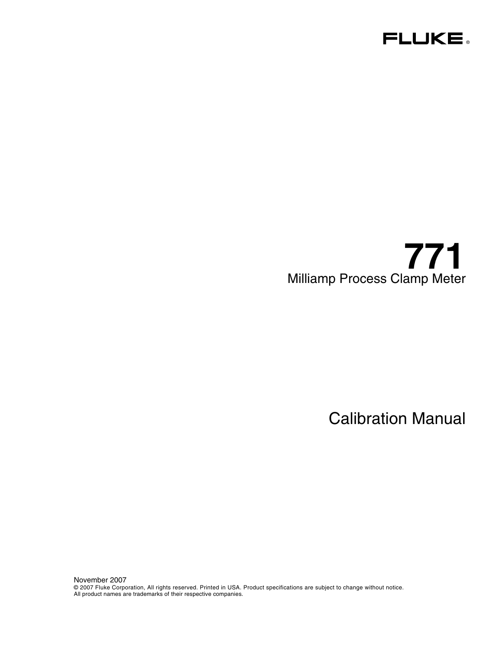

# **771**  Milliamp Process Clamp Meter

Calibration Manual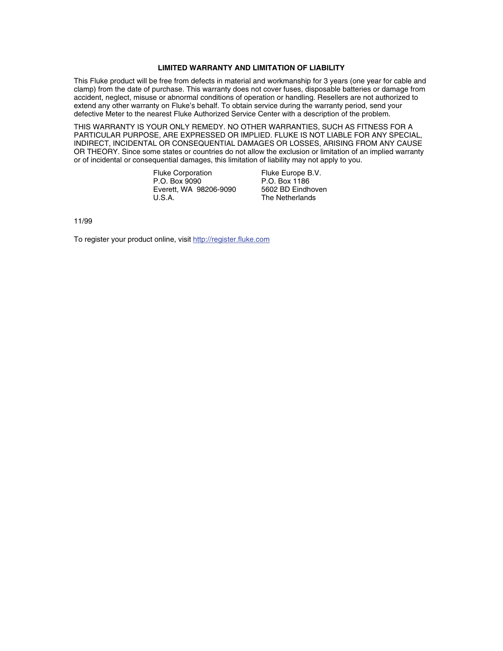#### **LIMITED WARRANTY AND LIMITATION OF LIABILITY**

This Fluke product will be free from defects in material and workmanship for 3 years (one year for cable and clamp) from the date of purchase. This warranty does not cover fuses, disposable batteries or damage from accident, neglect, misuse or abnormal conditions of operation or handling. Resellers are not authorized to extend any other warranty on Fluke's behalf. To obtain service during the warranty period, send your defective Meter to the nearest Fluke Authorized Service Center with a description of the problem.

THIS WARRANTY IS YOUR ONLY REMEDY. NO OTHER WARRANTIES, SUCH AS FITNESS FOR A PARTICULAR PURPOSE, ARE EXPRESSED OR IMPLIED. FLUKE IS NOT LIABLE FOR ANY SPECIAL, INDIRECT, INCIDENTAL OR CONSEQUENTIAL DAMAGES OR LOSSES, ARISING FROM ANY CAUSE OR THEORY. Since some states or countries do not allow the exclusion or limitation of an implied warranty or of incidental or consequential damages, this limitation of liability may not apply to you.

> Fluke Corporation P.O. Box 9090 Everett, WA 98206-9090 U.S.A.

Fluke Europe B.V. P.O. Box 1186 5602 BD Eindhoven The Netherlands

11/99

To register your product online, visit http://register.fluke.com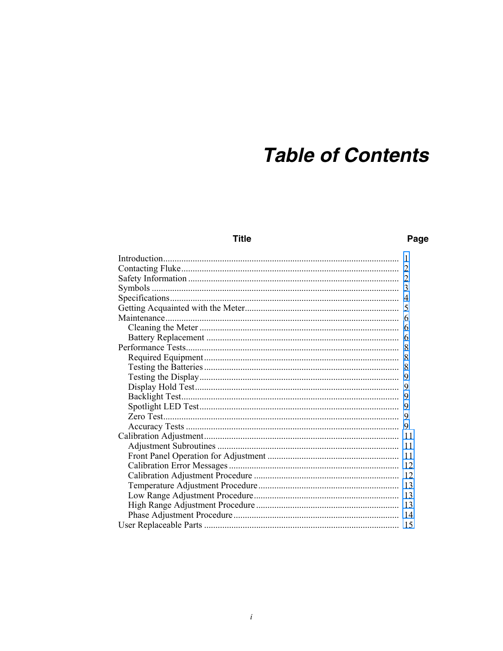# **Table of Contents**

# **Title**

# Page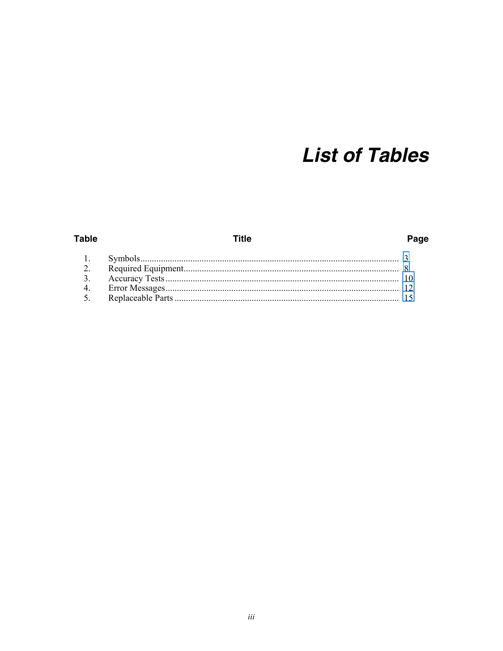# **List of Tables**

## **Table**

# **Title**

# Page

| $\sim$ |  |
|--------|--|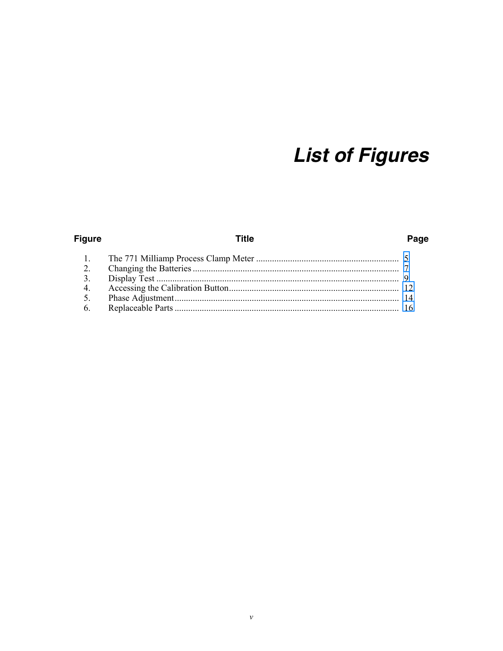# **List of Figures**

# **Figure**

# **Title**

# Page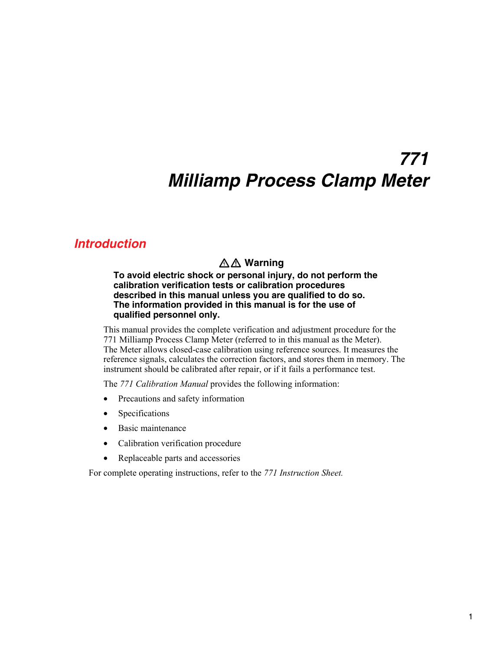# *771 Milliamp Process Clamp Meter*

# <span id="page-8-0"></span>*Introduction*

# XW **Warning**

**To avoid electric shock or personal injury, do not perform the calibration verification tests or calibration procedures described in this manual unless you are qualified to do so. The information provided in this manual is for the use of qualified personnel only.** 

This manual provides the complete verification and adjustment procedure for the 771 Milliamp Process Clamp Meter (referred to in this manual as the Meter). The Meter allows closed-case calibration using reference sources. It measures the reference signals, calculates the correction factors, and stores them in memory. The instrument should be calibrated after repair, or if it fails a performance test.

The *771 Calibration Manual* provides the following information:

- Precautions and safety information
- Specifications
- Basic maintenance
- Calibration verification procedure
- Replaceable parts and accessories

For complete operating instructions, refer to the *771 Instruction Sheet.*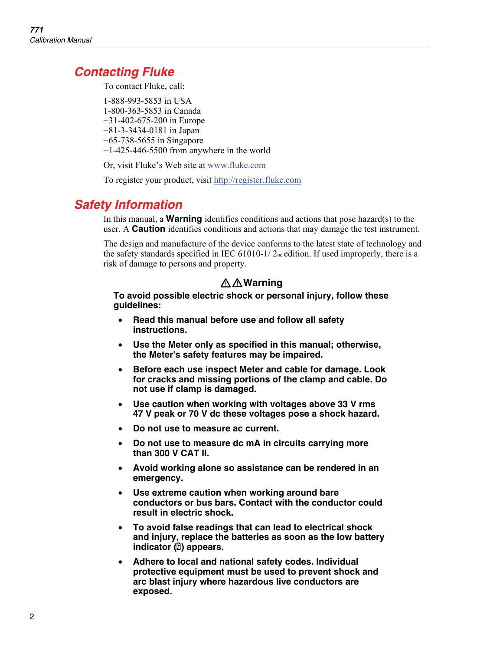# <span id="page-9-0"></span>*Contacting Fluke*

To contact Fluke, call:

1-888-993-5853 in USA 1-800-363-5853 in Canada +31-402-675-200 in Europe +81-3-3434-0181 in Japan +65-738-5655 in Singapore +1-425-446-5500 from anywhere in the world

Or, visit Fluke's Web site at www.fluke.com

To register your product, visit http://register.fluke.com

# *Safety Information*

In this manual, a **Warning** identifies conditions and actions that pose hazard(s) to the user. A **Caution** identifies conditions and actions that may damage the test instrument.

The design and manufacture of the device conforms to the latest state of technology and the safety standards specified in IEC 61010-1/2<sub>nd</sub> edition. If used improperly, there is a risk of damage to persons and property.

# XW**Warning**

**To avoid possible electric shock or personal injury, follow these guidelines:** 

- **Read this manual before use and follow all safety instructions.**
- **Use the Meter only as specified in this manual; otherwise, the Meter's safety features may be impaired.**
- **Before each use inspect Meter and cable for damage. Look for cracks and missing portions of the clamp and cable. Do not use if clamp is damaged.**
- **Use caution when working with voltages above 33 V rms 47 V peak or 70 V dc these voltages pose a shock hazard.**
- **Do not use to measure ac current.**
- **Do not use to measure dc mA in circuits carrying more than 300 V CAT II.**
- **Avoid working alone so assistance can be rendered in an emergency.**
- **Use extreme caution when working around bare conductors or bus bars. Contact with the conductor could result in electric shock.**
- **To avoid false readings that can lead to electrical shock and injury, replace the batteries as soon as the low battery indicator (**B**) appears.**
- **Adhere to local and national safety codes. Individual protective equipment must be used to prevent shock and arc blast injury where hazardous live conductors are exposed.**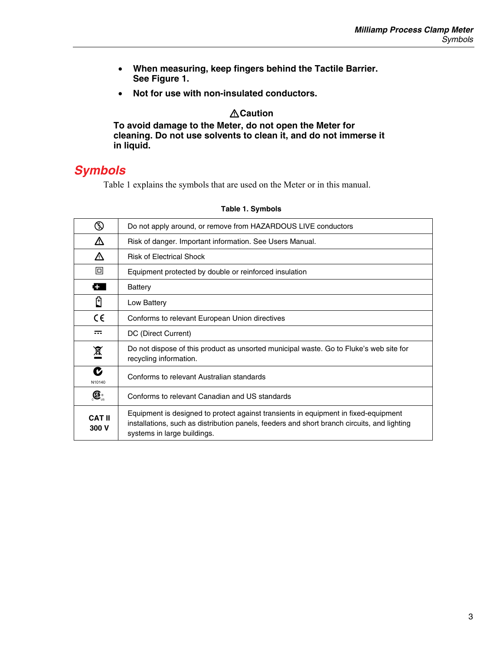- <span id="page-10-0"></span>• **When measuring, keep fingers behind the Tactile Barrier. See Figure 1.**
- **Not for use with non-insulated conductors.**

## W**Caution**

**To avoid damage to the Meter, do not open the Meter for cleaning. Do not use solvents to clean it, and do not immerse it in liquid.** 

# *Symbols*

Table 1 explains the symbols that are used on the Meter or in this manual.

| ⊛                      | Do not apply around, or remove from HAZARDOUS LIVE conductors                                                                                                                                                     |
|------------------------|-------------------------------------------------------------------------------------------------------------------------------------------------------------------------------------------------------------------|
| ∧                      | Risk of danger. Important information. See Users Manual.                                                                                                                                                          |
| ∧                      | <b>Risk of Electrical Shock</b>                                                                                                                                                                                   |
| 回                      | Equipment protected by double or reinforced insulation                                                                                                                                                            |
| c.                     | Battery                                                                                                                                                                                                           |
| Θ                      | Low Battery                                                                                                                                                                                                       |
| $\epsilon$             | Conforms to relevant European Union directives                                                                                                                                                                    |
| ≂                      | DC (Direct Current)                                                                                                                                                                                               |
| 凰                      | Do not dispose of this product as unsorted municipal waste. Go to Fluke's web site for<br>recycling information.                                                                                                  |
| C<br>N10140            | Conforms to relevant Australian standards                                                                                                                                                                         |
| $\bigoplus_{\cup s}$   | Conforms to relevant Canadian and US standards                                                                                                                                                                    |
| <b>CAT II</b><br>300 V | Equipment is designed to protect against transients in equipment in fixed-equipment<br>installations, such as distribution panels, feeders and short branch circuits, and lighting<br>systems in large buildings. |

#### **Table 1. Symbols**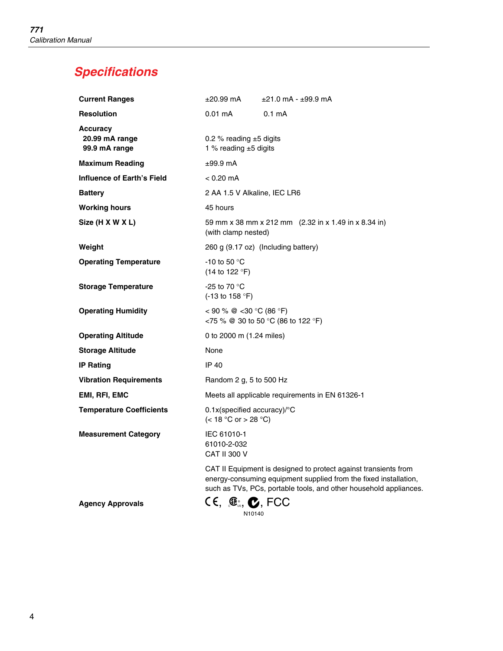# <span id="page-11-0"></span>*Specifications*

| <b>Current Ranges</b>                              | ±20.99 mA                                                            | $±21.0$ mA - $±99.9$ mA                                                                                                                                                                                  |
|----------------------------------------------------|----------------------------------------------------------------------|----------------------------------------------------------------------------------------------------------------------------------------------------------------------------------------------------------|
| <b>Resolution</b>                                  | $0.01 \text{ mA}$                                                    | 0.1 <sub>m</sub> A                                                                                                                                                                                       |
| <b>Accuracy</b><br>20.99 mA range<br>99.9 mA range | 0.2 % reading $±5$ digits<br>1 % reading $±5$ digits                 |                                                                                                                                                                                                          |
| <b>Maximum Reading</b>                             | $±99.9$ mA                                                           |                                                                                                                                                                                                          |
| Influence of Earth's Field                         | $< 0.20 \text{ mA}$                                                  |                                                                                                                                                                                                          |
| <b>Battery</b>                                     | 2 AA 1.5 V Alkaline, IEC LR6                                         |                                                                                                                                                                                                          |
| <b>Working hours</b>                               | 45 hours                                                             |                                                                                                                                                                                                          |
| Size (H X W X L)                                   | (with clamp nested)                                                  | 59 mm x 38 mm x 212 mm (2.32 in x 1.49 in x 8.34 in)                                                                                                                                                     |
| Weight                                             |                                                                      | 260 g (9.17 oz) (Including battery)                                                                                                                                                                      |
| <b>Operating Temperature</b>                       | -10 to 50 $\degree$ C<br>(14 to 122 $\degree$ F)                     |                                                                                                                                                                                                          |
| <b>Storage Temperature</b>                         | -25 to 70 °C<br>$(-13 \text{ to } 158 \text{ °F})$                   |                                                                                                                                                                                                          |
| <b>Operating Humidity</b>                          | < 90 % @ < 30 °C (86 °F)                                             | <75 % @ 30 to 50 °C (86 to 122 °F)                                                                                                                                                                       |
| <b>Operating Altitude</b>                          | 0 to 2000 m (1.24 miles)                                             |                                                                                                                                                                                                          |
| <b>Storage Altitude</b>                            | None                                                                 |                                                                                                                                                                                                          |
| <b>IP Rating</b>                                   | IP 40                                                                |                                                                                                                                                                                                          |
| <b>Vibration Requirements</b>                      | Random 2 g, 5 to 500 Hz                                              |                                                                                                                                                                                                          |
| EMI, RFI, EMC                                      |                                                                      | Meets all applicable requirements in EN 61326-1                                                                                                                                                          |
| <b>Temperature Coefficients</b>                    | $0.1x$ (specified accuracy)/ $\textdegree$ C<br>(< 18 °C or > 28 °C) |                                                                                                                                                                                                          |
| <b>Measurement Category</b>                        | IEC 61010-1<br>61010-2-032<br>CAT II 300 V                           |                                                                                                                                                                                                          |
|                                                    |                                                                      | CAT II Equipment is designed to protect against transients from<br>energy-consuming equipment supplied from the fixed installation,<br>such as TVs, PCs, portable tools, and other household appliances. |
|                                                    |                                                                      |                                                                                                                                                                                                          |

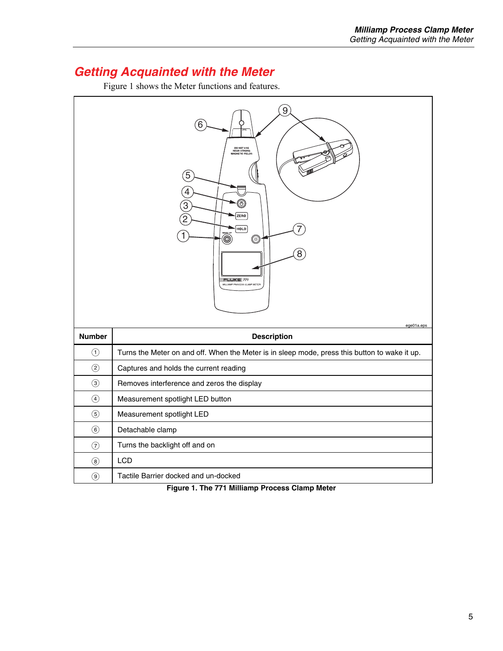# <span id="page-12-0"></span>*Getting Acquainted with the Meter*

Figure 1 shows the Meter functions and features.



**Figure 1. The 771 Milliamp Process Clamp Meter**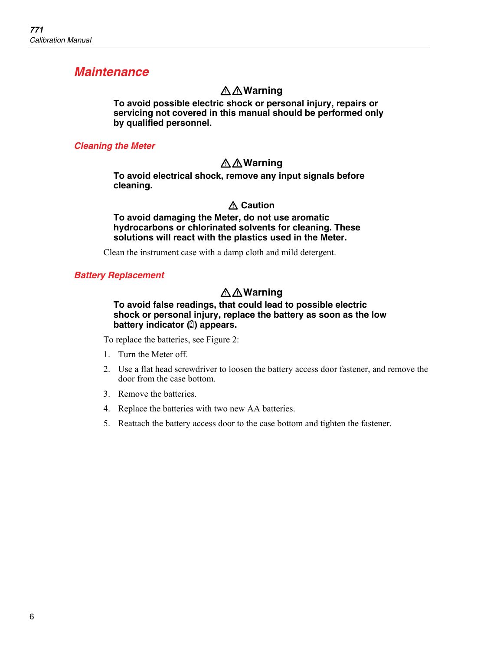# <span id="page-13-0"></span>*Maintenance*

# XW**Warning**

**To avoid possible electric shock or personal injury, repairs or servicing not covered in this manual should be performed only by qualified personnel.** 

## *Cleaning the Meter*

# XW**Warning**

**To avoid electrical shock, remove any input signals before cleaning.** 

## W **Caution**

**To avoid damaging the Meter, do not use aromatic hydrocarbons or chlorinated solvents for cleaning. These solutions will react with the plastics used in the Meter.** 

Clean the instrument case with a damp cloth and mild detergent.

#### *Battery Replacement*

# XW**Warning**

#### **To avoid false readings, that could lead to possible electric shock or personal injury, replace the battery as soon as the low battery indicator (**B**) appears.**

To replace the batteries, see Figure 2:

- 1. Turn the Meter off.
- 2. Use a flat head screwdriver to loosen the battery access door fastener, and remove the door from the case bottom.
- 3. Remove the batteries.
- 4. Replace the batteries with two new AA batteries.
- 5. Reattach the battery access door to the case bottom and tighten the fastener.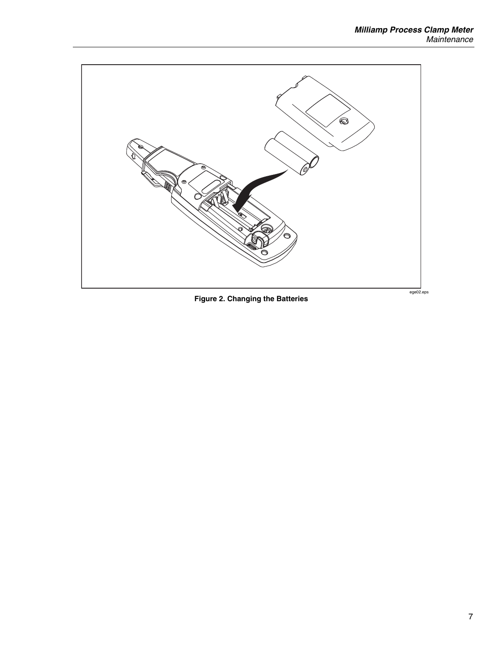<span id="page-14-0"></span>

Figure 2. Changing the Batteries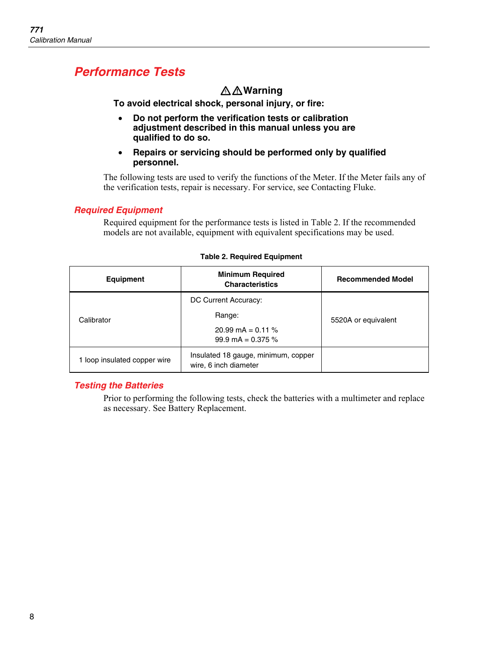# <span id="page-15-0"></span>*Performance Tests*

# XW**Warning**

**To avoid electrical shock, personal injury, or fire:** 

- **Do not perform the verification tests or calibration adjustment described in this manual unless you are qualified to do so.**
- **Repairs or servicing should be performed only by qualified personnel.**

The following tests are used to verify the functions of the Meter. If the Meter fails any of the verification tests, repair is necessary. For service, see Contacting Fluke.

### *Required Equipment*

Required equipment for the performance tests is listed in Table 2. If the recommended models are not available, equipment with equivalent specifications may be used.

| <b>Equipment</b>           | <b>Minimum Required</b><br><b>Characteristics</b>            | <b>Recommended Model</b> |  |
|----------------------------|--------------------------------------------------------------|--------------------------|--|
|                            | DC Current Accuracy:                                         |                          |  |
| Calibrator                 | Range:                                                       | 5520A or equivalent      |  |
|                            | 20.99 mA = $0.11\%$<br>99.9 mA = $0.375\%$                   |                          |  |
| loop insulated copper wire | Insulated 18 gauge, minimum, copper<br>wire, 6 inch diameter |                          |  |

#### **Table 2. Required Equipment**

### *Testing the Batteries*

Prior to performing the following tests, check the batteries with a multimeter and replace as necessary. See Battery Replacement.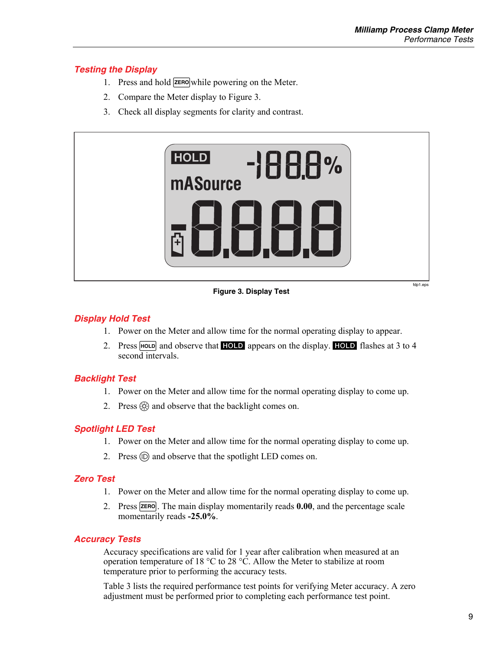# <span id="page-16-0"></span>*Testing the Display*

- 1. Press and hold  $\overline{\mathsf{z}^{\text{ERO}}}$  while powering on the Meter.
- 2. Compare the Meter display to Figure 3.
- 3. Check all display segments for clarity and contrast.



**Figure 3. Display Test** 

# *Display Hold Test*

- 1. Power on the Meter and allow time for the normal operating display to appear.
- 2. Press  $H_{\text{OLD}}$  and observe that  $H_{\text{OLD}}$  appears on the display. HOLD flashes at 3 to 4 second intervals.

# *Backlight Test*

- 1. Power on the Meter and allow time for the normal operating display to come up.
- 2. Press  $\circled{c}$  and observe that the backlight comes on.

# *Spotlight LED Test*

- 1. Power on the Meter and allow time for the normal operating display to come up.
- 2. Press  $\circledcirc$  and observe that the spotlight LED comes on.

### *Zero Test*

- 1. Power on the Meter and allow time for the normal operating display to come up.
- 2. Press **ZERO**. The main display momentarily reads **0.00**, and the percentage scale momentarily reads **-25.0%**.

# *Accuracy Tests*

Accuracy specifications are valid for 1 year after calibration when measured at an operation temperature of 18 °C to 28 °C. Allow the Meter to stabilize at room temperature prior to performing the accuracy tests.

Table 3 lists the required performance test points for verifying Meter accuracy. A zero adjustment must be performed prior to completing each performance test point.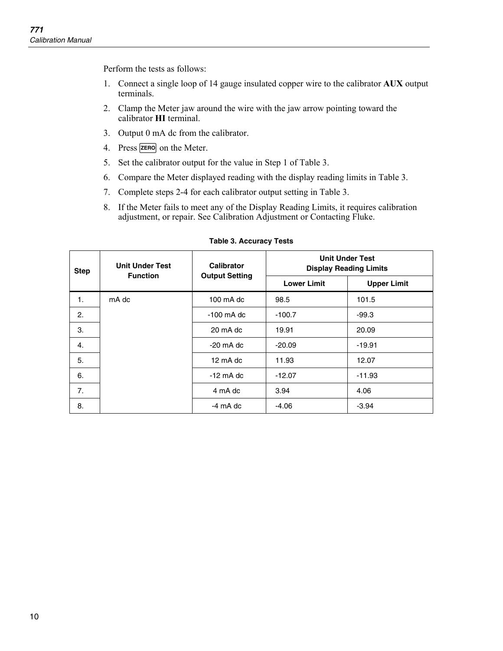<span id="page-17-0"></span>Perform the tests as follows:

- 1. Connect a single loop of 14 gauge insulated copper wire to the calibrator **AUX** output terminals.
- 2. Clamp the Meter jaw around the wire with the jaw arrow pointing toward the calibrator **HI** terminal.
- 3. Output 0 mA dc from the calibrator.
- 4. Press **ZERO** on the Meter.
- 5. Set the calibrator output for the value in Step 1 of Table 3.
- 6. Compare the Meter displayed reading with the display reading limits in Table 3.
- 7. Complete steps 2-4 for each calibrator output setting in Table 3.
- 8. If the Meter fails to meet any of the Display Reading Limits, it requires calibration adjustment, or repair. See Calibration Adjustment or Contacting Fluke.

| <b>Step</b> | <b>Unit Under Test</b><br><b>Function</b> | Calibrator<br><b>Output Setting</b> | <b>Unit Under Test</b><br><b>Display Reading Limits</b> |                    |
|-------------|-------------------------------------------|-------------------------------------|---------------------------------------------------------|--------------------|
|             |                                           |                                     | <b>Lower Limit</b>                                      | <b>Upper Limit</b> |
| 1.          | mA dc                                     | 100 mA dc                           | 98.5                                                    | 101.5              |
| 2.          |                                           | $-100$ mA dc                        | $-100.7$                                                | $-99.3$            |
| 3.          |                                           | 20 mA dc                            | 19.91                                                   | 20.09              |
| 4.          |                                           | $-20$ mA dc                         | $-20.09$                                                | $-19.91$           |
| 5.          |                                           | 12 mA dc                            | 11.93                                                   | 12.07              |
| 6.          |                                           | $-12$ mA dc                         | $-12.07$                                                | $-11.93$           |
| 7.          |                                           | 4 mA dc                             | 3.94                                                    | 4.06               |
| 8.          |                                           | -4 mA dc                            | $-4.06$                                                 | $-3.94$            |

#### **Table 3. Accuracy Tests**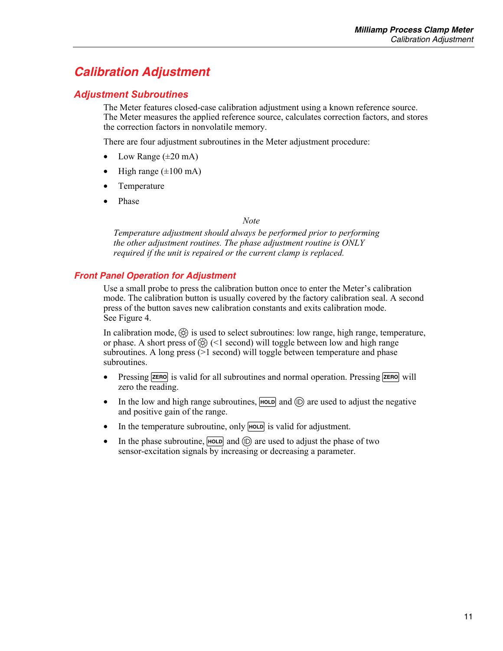# <span id="page-18-0"></span>*Calibration Adjustment*

## *Adjustment Subroutines*

The Meter features closed-case calibration adjustment using a known reference source. The Meter measures the applied reference source, calculates correction factors, and stores the correction factors in nonvolatile memory.

There are four adjustment subroutines in the Meter adjustment procedure:

- Low Range  $(\pm 20 \text{ mA})$
- High range  $(\pm 100 \text{ mA})$
- Temperature
- Phase

#### *Note*

*Temperature adjustment should always be performed prior to performing the other adjustment routines. The phase adjustment routine is ONLY required if the unit is repaired or the current clamp is replaced.* 

### *Front Panel Operation for Adjustment*

Use a small probe to press the calibration button once to enter the Meter's calibration mode. The calibration button is usually covered by the factory calibration seal. A second press of the button saves new calibration constants and exits calibration mode. See Figure 4.

In calibration mode,  $\circled{6}$  is used to select subroutines: low range, high range, temperature, or phase. A short press of  $\circled{6}$  (<1 second) will toggle between low and high range subroutines. A long press  $(>= 1 \text{ second})$  will toggle between temperature and phase subroutines.

- Pressing  $\overline{z}$  ressing  $\overline{z}$  is valid for all subroutines and normal operation. Pressing  $\overline{z}$  respectively zero the reading.
- In the low and high range subroutines,  $\boxed{\text{HOLD}}$  and  $\textcircled{D}$  are used to adjust the negative and positive gain of the range.
- In the temperature subroutine, only  $\overline{H_{\text{OLD}}}$  is valid for adjustment.
- In the phase subroutine,  $H = \text{GL}(E)$  and  $E = \text{L}$  are used to adjust the phase of two sensor-excitation signals by increasing or decreasing a parameter.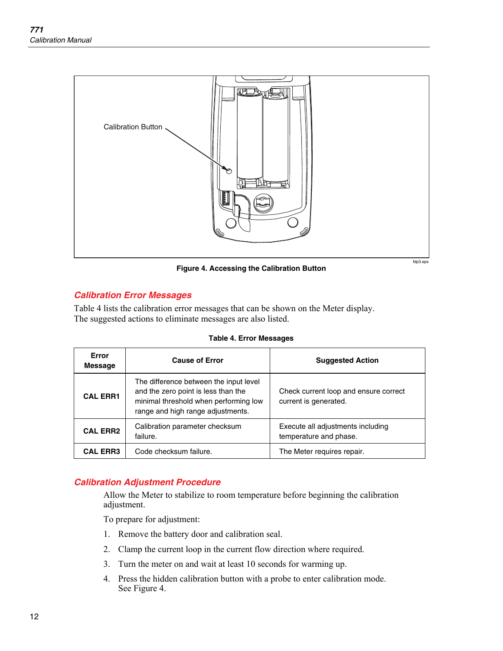<span id="page-19-0"></span>

**Figure 4. Accessing the Calibration Button** 

fdp3.eps

# *Calibration Error Messages*

Table 4 lists the calibration error messages that can be shown on the Meter display. The suggested actions to eliminate messages are also listed.

| Error<br><b>Message</b> | <b>Cause of Error</b>                                                                                                                                       | <b>Suggested Action</b>                                        |
|-------------------------|-------------------------------------------------------------------------------------------------------------------------------------------------------------|----------------------------------------------------------------|
| <b>CAL ERR1</b>         | The difference between the input level<br>and the zero point is less than the<br>minimal threshold when performing low<br>range and high range adjustments. | Check current loop and ensure correct<br>current is generated. |
| <b>CAL ERR2</b>         | Calibration parameter checksum<br>failure.                                                                                                                  | Execute all adjustments including<br>temperature and phase.    |
| <b>CAL ERR3</b>         | Code checksum failure.                                                                                                                                      | The Meter requires repair.                                     |

#### **Table 4. Error Messages**

### *Calibration Adjustment Procedure*

Allow the Meter to stabilize to room temperature before beginning the calibration adjustment.

To prepare for adjustment:

- 1. Remove the battery door and calibration seal.
- 2. Clamp the current loop in the current flow direction where required.
- 3. Turn the meter on and wait at least 10 seconds for warming up.
- 4. Press the hidden calibration button with a probe to enter calibration mode. See Figure 4.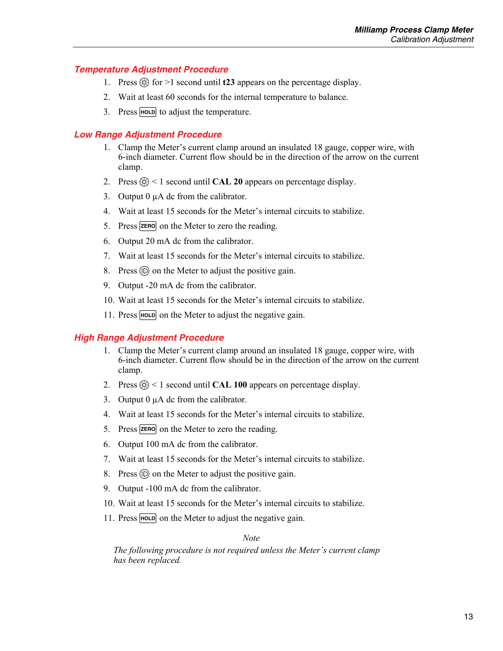#### <span id="page-20-0"></span>*Temperature Adjustment Procedure*

- 1. Press  $\circled{6}$  for >1 second until **t23** appears on the percentage display.
- 2. Wait at least 60 seconds for the internal temperature to balance.
- 3. Press  $H_{\text{OLD}}$  to adjust the temperature.

#### *Low Range Adjustment Procedure*

- 1. Clamp the Meter's current clamp around an insulated 18 gauge, copper wire, with 6-inch diameter. Current flow should be in the direction of the arrow on the current clamp.
- 2. Press  $\langle \hat{\varphi} \rangle$  < 1 second until **CAL 20** appears on percentage display.
- 3. Output  $0 \mu A$  dc from the calibrator.
- 4. Wait at least 15 seconds for the Meter's internal circuits to stabilize.
- 5. Press  $\overline{\mathsf{z}$  errors on the Meter to zero the reading.
- 6. Output 20 mA dc from the calibrator.
- 7. Wait at least 15 seconds for the Meter's internal circuits to stabilize.
- 8. Press  $\circledcirc$  on the Meter to adjust the positive gain.
- 9. Output -20 mA dc from the calibrator.
- 10. Wait at least 15 seconds for the Meter's internal circuits to stabilize.
- 11. Press  $H_{\text{OLD}}$  on the Meter to adjust the negative gain.

#### *High Range Adjustment Procedure*

- 1. Clamp the Meter's current clamp around an insulated 18 gauge, copper wire, with 6-inch diameter. Current flow should be in the direction of the arrow on the current clamp.
- 2. Press  $\circled{6}$  < 1 second until **CAL 100** appears on percentage display.
- 3. Output 0  $\mu$ A dc from the calibrator.
- 4. Wait at least 15 seconds for the Meter's internal circuits to stabilize.
- 5. Press  $\overline{\mathsf{z}$  and  $\overline{\mathsf{z}}$  on the Meter to zero the reading.
- 6. Output 100 mA dc from the calibrator.
- 7. Wait at least 15 seconds for the Meter's internal circuits to stabilize.
- 8. Press  $\circledcirc$  on the Meter to adjust the positive gain.
- 9. Output -100 mA dc from the calibrator.
- 10. Wait at least 15 seconds for the Meter's internal circuits to stabilize.
- 11. Press  $H_{\text{D}}$  on the Meter to adjust the negative gain.

*Note* 

*The following procedure is not required unless the Meter's current clamp has been replaced.*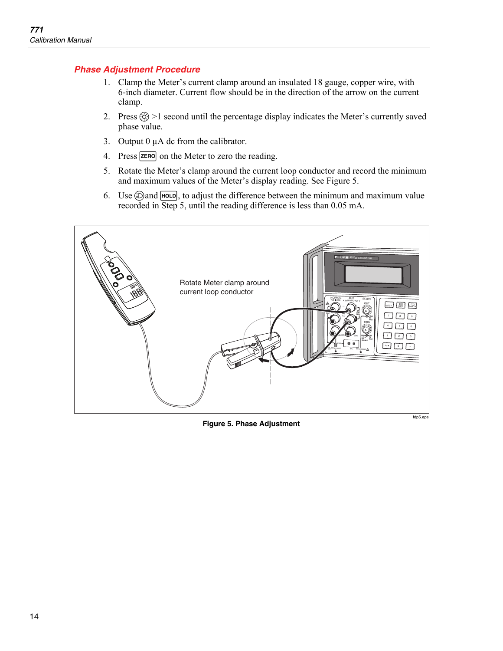## <span id="page-21-0"></span>*Phase Adjustment Procedure*

- 1. Clamp the Meter's current clamp around an insulated 18 gauge, copper wire, with 6-inch diameter. Current flow should be in the direction of the arrow on the current clamp.
- 2. Press  $\langle \hat{\Theta} \rangle$  >1 second until the percentage display indicates the Meter's currently saved phase value.
- 3. Output  $0 \mu A$  dc from the calibrator.
- 4. Press **ZERO** on the Meter to zero the reading.
- 5. Rotate the Meter's clamp around the current loop conductor and record the minimum and maximum values of the Meter's display reading. See Figure 5.
- 6. Use  $\circled{1}$  and  $\circled{H}$ , to adjust the difference between the minimum and maximum value recorded in Step 5, until the reading difference is less than 0.05 mA.



**Figure 5. Phase Adjustment** 

fdp5.eps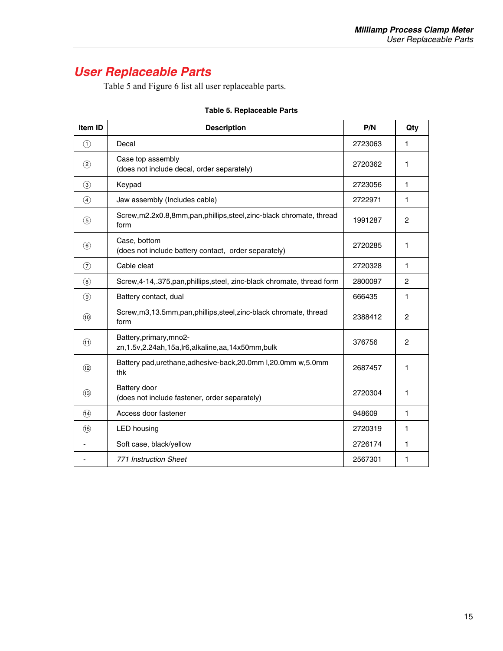# <span id="page-22-0"></span>*User Replaceable Parts*

Table 5 and Figure 6 list all user replaceable parts.

| Item ID                      | <b>Description</b>                                                                 | P/N     | Qty            |
|------------------------------|------------------------------------------------------------------------------------|---------|----------------|
| $\left( \widehat{ } \right)$ | Decal                                                                              | 2723063 | 1              |
| $\circled{2}$                | Case top assembly<br>(does not include decal, order separately)                    | 2720362 | 1              |
| $\circled{3}$                | Keypad                                                                             | 2723056 | 1              |
| $\circled{4}$                | Jaw assembly (Includes cable)                                                      | 2722971 | 1              |
| $\circled{5}$                | Screw, m2.2x0.8,8mm, pan, phillips, steel, zinc-black chromate, thread<br>form     | 1991287 | $\overline{c}$ |
| (6)                          | Case, bottom<br>(does not include battery contact, order separately)               | 2720285 | 1              |
| $\circled7$                  | Cable cleat                                                                        | 2720328 | 1              |
| $\circled{8}$                | Screw, 4-14, .375, pan, phillips, steel, zinc-black chromate, thread form          | 2800097 | $\overline{2}$ |
| $\circled{9}$                | Battery contact, dual                                                              | 666435  | 1              |
| (10)                         | Screw, m3, 13.5mm, pan, phillips, steel, zinc-black chromate, thread<br>form       | 2388412 | $\overline{c}$ |
| (1)                          | Battery, primary, mno2-<br>zn, 1.5v, 2.24ah, 15a, Ir6, alkaline, aa, 14x50mm, bulk | 376756  | 2              |
| (12)                         | Battery pad, urethane, adhesive-back, 20.0mm I, 20.0mm w, 5.0mm<br>thk             | 2687457 | 1              |
| (13)                         | Battery door<br>(does not include fastener, order separately)                      | 2720304 | 1              |
| (14)                         | Access door fastener                                                               | 948609  | 1              |
| (15)                         | <b>LED</b> housing                                                                 | 2720319 | 1              |
|                              | Soft case, black/yellow                                                            | 2726174 | 1              |
|                              | <b>771 Instruction Sheet</b>                                                       | 2567301 | 1              |

# **Table 5. Replaceable Parts**